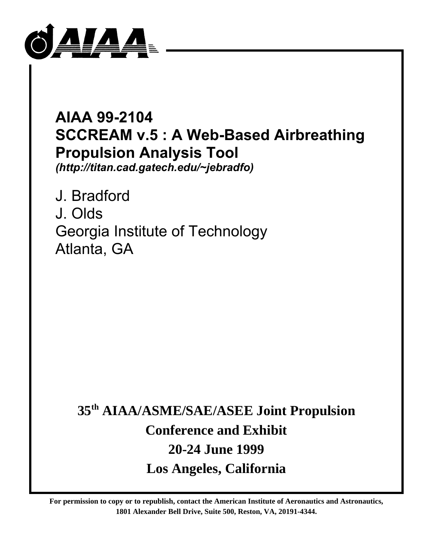

## **AIAA 99-2104 SCCREAM v.5 : A Web-Based Airbreathing Propulsion Analysis Tool** *(http://titan.cad.gatech.edu/~jebradfo)*

J. Bradford J. Olds Georgia Institute of Technology Atlanta, GA

# **35th AIAA/ASME/SAE/ASEE Joint Propulsion Conference and Exhibit 20-24 June 1999 Los Angeles, California**

**For permission to copy or to republish, contact the American Institute of Aeronautics and Astronautics, 1801 Alexander Bell Drive, Suite 500, Reston, VA, 20191-4344.**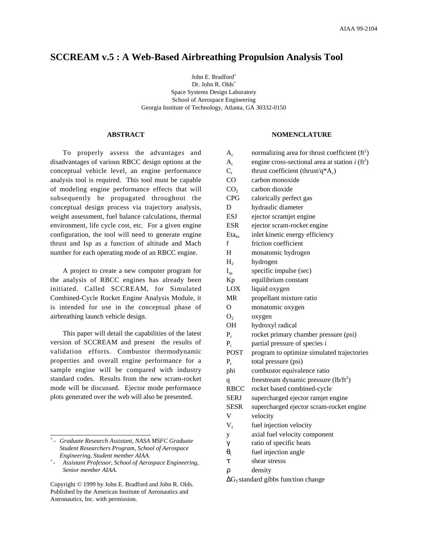### **SCCREAM v.5 : A Web-Based Airbreathing Propulsion Analysis Tool**

John E. Bradford† Dr. John R. Olds\* Space Systems Design Laboratory School of Aerospace Engineering Georgia Institute of Technology, Atlanta, GA 30332-0150

#### **ABSTRACT**

To properly assess the advantages and disadvantages of various RBCC design options at the conceptual vehicle level, an engine performance analysis tool is required. This tool must be capable of modeling engine performance effects that will subsequently be propagated throughout the conceptual design process via trajectory analysis, weight assessment, fuel balance calculations, thermal environment, life cycle cost, etc. For a given engine configuration, the tool will need to generate engine thrust and Isp as a function of altitude and Mach number for each operating mode of an RBCC engine.

A project to create a new computer program for the analysis of RBCC engines has already been initiated. Called SCCREAM, for Simulated Combined-Cycle Rocket Engine Analysis Module, it is intended for use in the conceptual phase of airbreathing launch vehicle design.

This paper will detail the capabilities of the latest version of SCCREAM and present the results of validation efforts. Combustor thermodynamic properties and overall engine performance for a sample engine will be compared with industry standard codes. Results from the new scram-rocket mode will be discussed. Ejector mode performance plots generated over the web will also be presented.

 $\overline{a}$ 

Copyright © 1999 by John E. Bradford and John R. Olds. Published by the American Institute of Aeronautics and Astronautics, Inc. with permission.

#### **NOMENCLATURE**

| $A_c$           | normalizing area for thrust coefficient $(ft^2)$              |
|-----------------|---------------------------------------------------------------|
| $A_i$           | engine cross-sectional area at station $i$ (ft <sup>2</sup> ) |
| $C_{t}$         | thrust coefficient (thrust/ $q^*A_c$ )                        |
| CO              | carbon monoxide                                               |
| CO <sub>2</sub> | carbon dioxide                                                |
| <b>CPG</b>      | calorically perfect gas                                       |
| D               | hydraulic diameter                                            |
| <b>ESJ</b>      | ejector scramjet engine                                       |
| ESR             | ejector scram-rocket engine                                   |
| $Eta_{ke}$      | inlet kinetic energy efficiency                               |
| f               | friction coefficient                                          |
| Н               | monatomic hydrogen                                            |
| H <sub>2</sub>  | hydrogen                                                      |
| $I_{sp}$        | specific impulse (sec)                                        |
| Kp              | equilibrium constant                                          |
| LOX             | liquid oxygen                                                 |
| MR              | propellant mixture ratio                                      |
| O               | monatomic oxygen                                              |
| O <sub>2</sub>  | oxygen                                                        |
| <b>OH</b>       | hydroxyl radical                                              |
| $P_c$           | rocket primary chamber pressure (psi)                         |
| $P_i$           | partial pressure of species i                                 |
| <b>POST</b>     | program to optimize simulated trajectories                    |
| $P_{t}$         | total pressure (psi)                                          |
| phi             | combustor equivalence ratio                                   |
| q               | freestream dynamic pressure $(lb/ft^2)$                       |
| <b>RBCC</b>     | rocket based combined-cycle                                   |
| SERJ            | supercharged ejector ramjet engine                            |
| <b>SESR</b>     | supercharged ejector scram-rocket engine                      |
| V               | velocity                                                      |
| $V_f$           | fuel injection velocity                                       |
| y               | axial fuel velocity component                                 |
| γ               | ratio of specific heats                                       |
| $\theta_{i}$    | fuel injection angle                                          |
| τ               | shear stresss                                                 |
| ρ               | density                                                       |
|                 | $\Delta G_T$ standard gibbs function change                   |

*<sup>†</sup> - Graduate Research Assistant, NASA MSFC Graduate Student Researchers Program, School of Aerospace Engineering, Student member AIAA.*

*<sup>\* -</sup> Assistant Professor, School of Aerospace Engineering, Senior member AIAA.*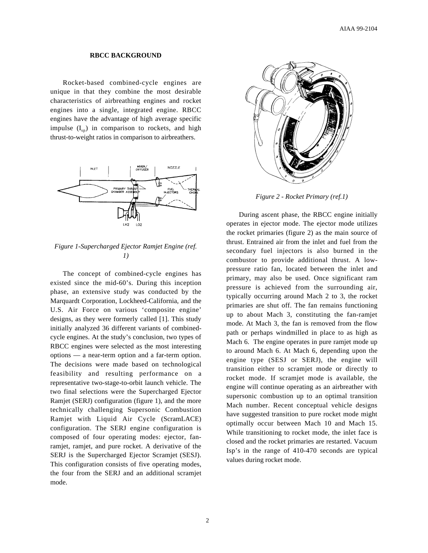#### **RBCC BACKGROUND**

Rocket-based combined-cycle engines are unique in that they combine the most desirable characteristics of airbreathing engines and rocket engines into a single, integrated engine. RBCC engines have the advantage of high average specific impulse  $(I_{\rm sn})$  in comparison to rockets, and high thrust-to-weight ratios in comparison to airbreathers.



*Figure 1-Supercharged Ejector Ramjet Engine (ref. 1)*

The concept of combined-cycle engines has existed since the mid-60's. During this inception phase, an extensive study was conducted by the Marquardt Corporation, Lockheed-California, and the U.S. Air Force on various 'composite engine' designs, as they were formerly called [1]. This study initially analyzed 36 different variants of combinedcycle engines. At the study's conclusion, two types of RBCC engines were selected as the most interesting options — a near-term option and a far-term option. The decisions were made based on technological feasibility and resulting performance on a representative two-stage-to-orbit launch vehicle. The two final selections were the Supercharged Ejector Ramjet (SERJ) configuration (figure 1), and the more technically challenging Supersonic Combustion Ramjet with Liquid Air Cycle (ScramLACE) configuration. The SERJ engine configuration is composed of four operating modes: ejector, fanramjet, ramjet, and pure rocket. A derivative of the SERJ is the Supercharged Ejector Scramjet (SESJ). This configuration consists of five operating modes, the four from the SERJ and an additional scramjet mode.



*Figure 2 - Rocket Primary (ref.1)*

During ascent phase, the RBCC engine initially operates in ejector mode. The ejector mode utilizes the rocket primaries (figure 2) as the main source of thrust. Entrained air from the inlet and fuel from the secondary fuel injectors is also burned in the combustor to provide additional thrust. A lowpressure ratio fan, located between the inlet and primary, may also be used. Once significant ram pressure is achieved from the surrounding air, typically occurring around Mach 2 to 3, the rocket primaries are shut off. The fan remains functioning up to about Mach 3, constituting the fan-ramjet mode. At Mach 3, the fan is removed from the flow path or perhaps windmilled in place to as high as Mach 6. The engine operates in pure ramjet mode up to around Mach 6. At Mach 6, depending upon the engine type (SESJ or SERJ), the engine will transition either to scramjet mode or directly to rocket mode. If scramjet mode is available, the engine will continue operating as an airbreather with supersonic combustion up to an optimal transition Mach number. Recent conceptual vehicle designs have suggested transition to pure rocket mode might optimally occur between Mach 10 and Mach 15. While transitioning to rocket mode, the inlet face is closed and the rocket primaries are restarted. Vacuum Isp's in the range of 410-470 seconds are typical values during rocket mode.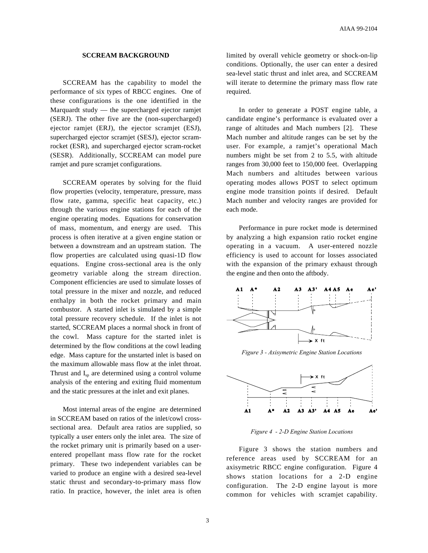#### **SCCREAM BACKGROUND**

SCCREAM has the capability to model the performance of six types of RBCC engines. One of these configurations is the one identified in the Marquardt study — the supercharged ejector ramjet (SERJ). The other five are the (non-supercharged) ejector ramjet (ERJ), the ejector scramjet (ESJ), supercharged ejector scramjet (SESJ), ejector scramrocket (ESR), and supercharged ejector scram-rocket (SESR). Additionally, SCCREAM can model pure ramjet and pure scramjet configurations.

SCCREAM operates by solving for the fluid flow properties (velocity, temperature, pressure, mass flow rate, gamma, specific heat capacity, etc.) through the various engine stations for each of the engine operating modes. Equations for conservation of mass, momentum, and energy are used. This process is often iterative at a given engine station or between a downstream and an upstream station. The flow properties are calculated using quasi-1D flow equations. Engine cross-sectional area is the only geometry variable along the stream direction. Component efficiencies are used to simulate losses of total pressure in the mixer and nozzle, and reduced enthalpy in both the rocket primary and main combustor. A started inlet is simulated by a simple total pressure recovery schedule. If the inlet is not started, SCCREAM places a normal shock in front of the cowl. Mass capture for the started inlet is determined by the flow conditions at the cowl leading edge. Mass capture for the unstarted inlet is based on the maximum allowable mass flow at the inlet throat. Thrust and  $I_{\text{sn}}$  are determined using a control volume analysis of the entering and exiting fluid momentum and the static pressures at the inlet and exit planes.

Most internal areas of the engine are determined in SCCREAM based on ratios of the inlet/cowl crosssectional area. Default area ratios are supplied, so typically a user enters only the inlet area. The size of the rocket primary unit is primarily based on a userentered propellant mass flow rate for the rocket primary. These two independent variables can be varied to produce an engine with a desired sea-level static thrust and secondary-to-primary mass flow ratio. In practice, however, the inlet area is often limited by overall vehicle geometry or shock-on-lip conditions. Optionally, the user can enter a desired sea-level static thrust and inlet area, and SCCREAM will iterate to determine the primary mass flow rate required.

In order to generate a POST engine table, a candidate engine's performance is evaluated over a range of altitudes and Mach numbers [2]. These Mach number and altitude ranges can be set by the user. For example, a ramjet's operational Mach numbers might be set from 2 to 5.5, with altitude ranges from 30,000 feet to 150,000 feet. Overlapping Mach numbers and altitudes between various operating modes allows POST to select optimum engine mode transition points if desired. Default Mach number and velocity ranges are provided for each mode.

Performance in pure rocket mode is determined by analyzing a high expansion ratio rocket engine operating in a vacuum. A user-entered nozzle efficiency is used to account for losses associated with the expansion of the primary exhaust through the engine and then onto the aftbody.



*Figure 3 - Axisymetric Engine Station Locations*



*Figure 4 - 2-D Engine Station Locations*

Figure 3 shows the station numbers and reference areas used by SCCREAM for an axisymetric RBCC engine configuration. Figure 4 shows station locations for a 2-D engine configuration. The 2-D engine layout is more common for vehicles with scramjet capability.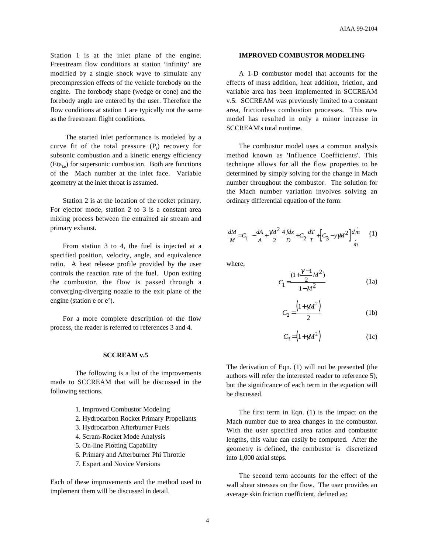Station 1 is at the inlet plane of the engine. Freestream flow conditions at station 'infinity' are modified by a single shock wave to simulate any precompression effects of the vehicle forebody on the engine. The forebody shape (wedge or cone) and the forebody angle are entered by the user. Therefore the flow conditions at station 1 are typically not the same as the freestream flight conditions.

 The started inlet performance is modeled by a curve fit of the total pressure  $(P_t)$  recovery for subsonic combustion and a kinetic energy efficiency  $(Eta_{k})$  for supersonic combustion. Both are functions of the Mach number at the inlet face. Variable geometry at the inlet throat is assumed.

Station 2 is at the location of the rocket primary. For ejector mode, station 2 to 3 is a constant area mixing process between the entrained air stream and primary exhaust.

From station 3 to 4, the fuel is injected at a specified position, velocity, angle, and equivalence ratio. A heat release profile provided by the user controls the reaction rate of the fuel. Upon exiting the combustor, the flow is passed through a converging-diverging nozzle to the exit plane of the engine (station e or e').

For a more complete description of the flow process, the reader is referred to references 3 and 4.

#### **SCCREAM v.5**

The following is a list of the improvements made to SCCREAM that will be discussed in the following sections.

- 1. Improved Combustor Modeling
- 2. Hydrocarbon Rocket Primary Propellants
- 3. Hydrocarbon Afterburner Fuels
- 4. Scram-Rocket Mode Analysis
- 5. On-line Plotting Capability
- 6. Primary and Afterburner Phi Throttle
- 7. Expert and Novice Versions

Each of these improvements and the method used to implement them will be discussed in detail.

#### **IMPROVED COMBUSTOR MODELING**

A 1-D combustor model that accounts for the effects of mass addition, heat addition, friction, and variable area has been implemented in SCCREAM v.5. SCCREAM was previously limited to a constant area, frictionless combustion processes. This new model has resulted in only a minor increase in SCCREAM's total runtime.

The combustor model uses a common analysis method known as 'Influence Coefficients'. This technique allows for all the flow properties to be determined by simply solving for the change in Mach number throughout the combustor. The solution for the Mach number variation involves solving an ordinary differential equation of the form:

$$
\frac{dM}{M} = C_1 \left\{ -\frac{dA}{A} + \frac{\gamma M^2}{2} \frac{4fdx}{D} + C_2 \frac{dT}{T} + \left[ C_3 - y\gamma M^2 \right] \frac{dm}{m} \right\}
$$
(1)

where,

$$
C_1 = \frac{(1 + \frac{\gamma - 1}{2}M^2)}{1 - M^2}
$$
 (1a)

$$
C_2 = \frac{\left(1 + \gamma M^2\right)}{2} \tag{1b}
$$

$$
C_3 = (1 + \gamma M^2) \tag{1c}
$$

The derivation of Eqn. (1) will not be presented (the authors will refer the interested reader to reference 5), but the significance of each term in the equation will be discussed.

The first term in Eqn. (1) is the impact on the Mach number due to area changes in the combustor. With the user specified area ratios and combustor lengths, this value can easily be computed. After the geometry is defined, the combustor is discretized into 1,000 axial steps.

The second term accounts for the effect of the wall shear stresses on the flow. The user provides an average skin friction coefficient, defined as: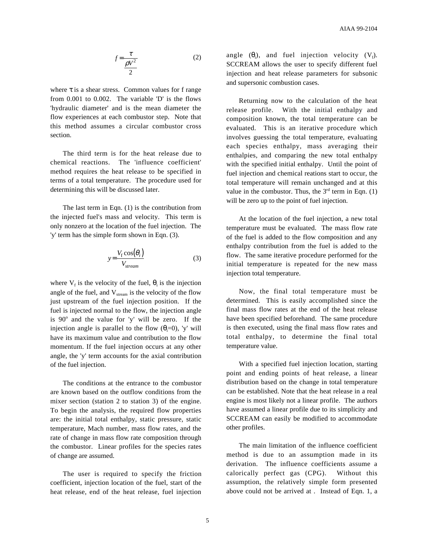$$
f = \frac{\tau}{\frac{\rho V^2}{2}}\tag{2}
$$

where  $\tau$  is a shear stress. Common values for f range from 0.001 to 0.002. The variable 'D' is the flows 'hydraulic diameter' and is the mean diameter the flow experiences at each combustor step. Note that this method assumes a circular combustor cross section.

The third term is for the heat release due to chemical reactions. The 'influence coefficient' method requires the heat release to be specified in terms of a total temperature. The procedure used for determining this will be discussed later.

The last term in Eqn. (1) is the contribution from the injected fuel's mass and velocity. This term is only nonzero at the location of the fuel injection. The 'y' term has the simple form shown in Eqn. (3).

$$
y = \frac{V_f \cos(\theta_i)}{V_{stream}}\tag{3}
$$

where  $V_f$  is the velocity of the fuel,  $\theta_i$  is the injection angle of the fuel, and  $V_{stream}$  is the velocity of the flow just upstream of the fuel injection position. If the fuel is injected normal to the flow, the injection angle is  $90^\circ$  and the value for 'y' will be zero. If the injection angle is parallel to the flow  $(\theta_i=0)$ , 'y' will have its maximum value and contribution to the flow momentum. If the fuel injection occurs at any other angle, the 'y' term accounts for the axial contribution of the fuel injection.

The conditions at the entrance to the combustor are known based on the outflow conditions from the mixer section (station 2 to station 3) of the engine. To begin the analysis, the required flow properties are: the initial total enthalpy, static pressure, static temperature, Mach number, mass flow rates, and the rate of change in mass flow rate composition through the combustor. Linear profiles for the species rates of change are assumed.

The user is required to specify the friction coefficient, injection location of the fuel, start of the heat release, end of the heat release, fuel injection

angle  $(\theta_i)$ , and fuel injection velocity  $(V_f)$ . SCCREAM allows the user to specify different fuel injection and heat release parameters for subsonic and supersonic combustion cases.

Returning now to the calculation of the heat release profile. With the initial enthalpy and composition known, the total temperature can be evaluated. This is an iterative procedure which involves guessing the total temperature, evaluating each species enthalpy, mass averaging their enthalpies, and comparing the new total enthalpy with the specified initial enthalpy. Until the point of fuel injection and chemical reations start to occur, the total temperature will remain unchanged and at this value in the combustor. Thus, the  $3<sup>rd</sup>$  term in Eqn. (1) will be zero up to the point of fuel injection.

At the location of the fuel injection, a new total temperature must be evaluated. The mass flow rate of the fuel is added to the flow composition and any enthalpy contribution from the fuel is added to the flow. The same iterative procedure performed for the initial temperature is repeated for the new mass injection total temperature.

Now, the final total temperature must be determined. This is easily accomplished since the final mass flow rates at the end of the heat release have been specified beforehand. The same procedure is then executed, using the final mass flow rates and total enthalpy, to determine the final total temperature value.

With a specified fuel injection location, starting point and ending points of heat release, a linear distribution based on the change in total temperature can be established. Note that the heat release in a real engine is most likely not a linear profile. The authors have assumed a linear profile due to its simplicity and SCCREAM can easily be modified to accommodate other profiles.

The main limitation of the influence coefficient method is due to an assumption made in its derivation. The influence coefficients assume a calorically perfect gas (CPG). Without this assumption, the relatively simple form presented above could not be arrived at . Instead of Eqn. 1, a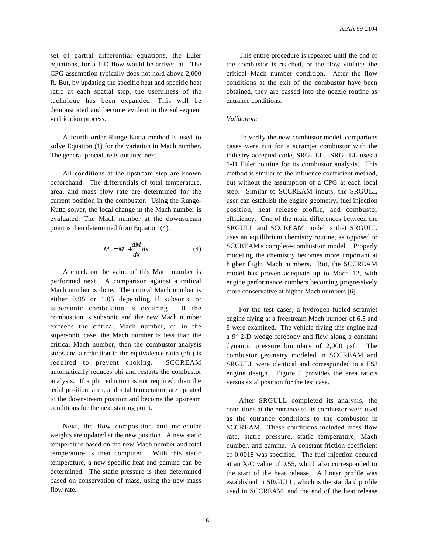set of partial differential equations, the Euler equations, for a 1-D flow would be arrived at. The CPG assumption typically does not hold above 2,000 R. But, by updating the specific heat and specific heat ratio at each spatial step, the usefulness of the technique has been expanded. This will be demonstrated and become evident in the subsequent verification process.

A fourth order Runge-Kutta method is used to solve Equation (1) for the variation in Mach number. The general procedure is outlined next.

All conditions at the upstream step are known beforehand. The differentials of total temperature, area, and mass flow rate are determined for the current position in the combustor. Using the Runge-Kutta solver, the local change in the Mach number is evaluated. The Mach number at the downstream point is then determined from Equation (4).

$$
M_2 = M_1 + \frac{dM}{dx}dx\tag{4}
$$

A check on the value of this Mach number is performed next. A comparison against a critical Mach number is done. The critical Mach number is either 0.95 or 1.05 depending if subsonic or supersonic combustion is occuring. If the combustion is subsonic and the new Mach number exceeds the critical Mach number, or in the supersonic case, the Mach number is less than the critical Mach number, then the combustor analysis stops and a reduction in the equivalence ratio (phi) is required to prevent choking. SCCREAM automatically reduces phi and restarts the combustor analysis. If a phi reduction is not required, then the axial position, area, and total temperature are updated to the downstream position and become the upstream conditions for the next starting point.

Next, the flow composition and molecular weights are updated at the new position. A new static temperature based on the new Mach number and total temperature is then computed. With this static temperature, a new specific heat and gamma can be determined. The static pressure is then determined based on conservation of mass, using the new mass flow rate.

This entire procedure is repeated until the end of the combustor is reached, or the flow violates the critical Mach number condition. After the flow conditions at the exit of the combustor have been obtained, they are passed into the nozzle routine as entrance conditions.

#### *Validation:*

To verify the new combustor model, comparions cases were run for a scramjet combustor with the industry accepted code, SRGULL. SRGULL uses a 1-D Euler routine for its combustor analysis. This method is similar to the influence coefficient method, but without the assumption of a CPG at each local step. Similar to SCCREAM inputs, the SRGULL user can establish the engine geometry, fuel injection position, heat release profile, and combustor efficiency. One of the main differences between the SRGULL and SCCREAM model is that SRGULL uses an equilibrium chemistry routine, as opposed to SCCREAM's complete-combustion model. Properly modeling the chemistry becomes more important at higher flight Mach numbers. But, the SCCREAM model has proven adequate up to Mach 12, with engine performance numbers becoming progressively more conservative at higher Mach numbers [6].

For the test cases, a hydrogen fueled scramjet engine flying at a freestream Mach number of 6.5 and 8 were examined. The vehicle flying this engine had a 9° 2-D wedge forebody and flew along a constant dynamic pressure boundary of 2,000 psf. The combustor geometry modeled in SCCREAM and SRGULL were identical and corresponded to a ESJ engine design. Figure 5 provides the area ratio's versus axial position for the test case.

After SRGULL completed its analysis, the conditions at the entrance to its combustor were used as the entrance conditions to the combustor in SCCREAM. These conditions included mass flow rate, static pressure, static temperature, Mach number, and gamma. A constant friction coefficient of 0.0018 was specified. The fuel injection occured at an X/C value of 0.55, which also corresponded to the start of the heat release. A linear profile was established in SRGULL, which is the standard profile used in SCCREAM, and the end of the heat release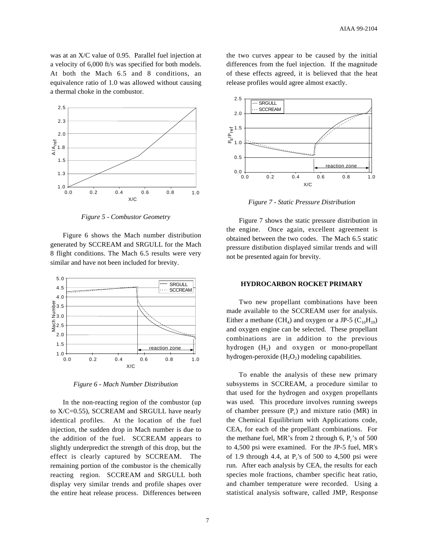was at an X/C value of 0.95. Parallel fuel injection at a velocity of 6,000 ft/s was specified for both models. At both the Mach 6.5 and 8 conditions, an equivalence ratio of 1.0 was allowed without causing a thermal choke in the combustor.



*Figure 5 - Combustor Geometry*

Figure 6 shows the Mach number distribution generated by SCCREAM and SRGULL for the Mach 8 flight conditions. The Mach 6.5 results were very similar and have not been included for brevity.



*Figure 6 - Mach Number Distribution*

In the non-reacting region of the combustor (up to X/C=0.55), SCCREAM and SRGULL have nearly identical profiles. At the location of the fuel injection, the sudden drop in Mach number is due to the addition of the fuel. SCCREAM appears to slightly underpredict the strength of this drop, but the effect is clearly captured by SCCREAM. The remaining portion of the combustor is the chemically reacting region. SCCREAM and SRGULL both display very similar trends and profile shapes over the entire heat release process. Differences between

the two curves appear to be caused by the initial differences from the fuel injection. If the magnitude of these effects agreed, it is believed that the heat release profiles would agree almost exactly.



*Figure 7 - Static Pressure Distribution*

Figure 7 shows the static pressure distribution in the engine. Once again, excellent agreement is obtained between the two codes. The Mach 6.5 static pressure distibution displayed similar trends and will not be presented again for brevity.

#### **HYDROCARBON ROCKET PRIMARY**

Two new propellant combinations have been made available to the SCCREAM user for analysis. Either a methane (CH<sub>4</sub>) and oxygen or a JP-5 (C<sub>10</sub>H<sub>19</sub>) and oxygen engine can be selected. These propellant combinations are in addition to the previous hydrogen  $(H_2)$  and oxygen or mono-propellant hydrogen-peroxide  $(H_2O_2)$  modeling capabilities.

To enable the analysis of these new primary subsystems in SCCREAM, a procedure similar to that used for the hydrogen and oxygen propellants was used. This procedure involves running sweeps of chamber pressure  $(P_c)$  and mixture ratio (MR) in the Chemical Equilibrium with Applications code, CEA, for each of the propellant combinations. For the methane fuel, MR's from 2 through 6,  $P_c$ 's of 500 to 4,500 psi were examined. For the JP-5 fuel, MR's of 1.9 through 4.4, at  $P_c$ 's of 500 to 4,500 psi were run. After each analysis by CEA, the results for each species mole fractions, chamber specific heat ratio, and chamber temperature were recorded. Using a statistical analysis software, called JMP, Response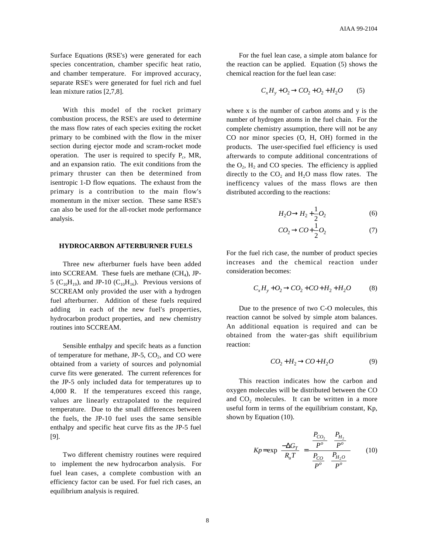Surface Equations (RSE's) were generated for each species concentration, chamber specific heat ratio, and chamber temperature. For improved accuracy, separate RSE's were generated for fuel rich and fuel lean mixture ratios [2,7,8].

With this model of the rocket primary combustion process, the RSE's are used to determine the mass flow rates of each species exiting the rocket primary to be combined with the flow in the mixer section during ejector mode and scram-rocket mode operation. The user is required to specify  $P_c$ , MR, and an expansion ratio. The exit conditions from the primary thruster can then be determined from isentropic 1-D flow equations. The exhaust from the primary is a contribution to the main flow's momentum in the mixer section. These same RSE's can also be used for the all-rocket mode performance analysis.

#### **HYDROCARBON AFTERBURNER FUELS**

Three new afterburner fuels have been added into SCCREAM. These fuels are methane  $(CH<sub>4</sub>)$ , JP-5 ( $C_{10}H_{19}$ ), and JP-10 ( $C_{10}H_{16}$ ). Previous versions of SCCREAM only provided the user with a hydrogen fuel afterburner. Addition of these fuels required adding in each of the new fuel's properties, hydrocarbon product properties, and new chemistry routines into SCCREAM.

Sensible enthalpy and specifc heats as a function of temperature for methane,  $JP-5$ ,  $CO<sub>2</sub>$ , and  $CO$  were obtained from a variety of sources and polynomial curve fits were generated. The current references for the JP-5 only included data for temperatures up to 4,000 R. If the temperatures exceed this range, values are linearly extrapolated to the required temperature. Due to the small differences between the fuels, the JP-10 fuel uses the same sensible enthalpy and specific heat curve fits as the JP-5 fuel [9].

Two different chemistry routines were required to implement the new hydrocarbon analysis. For fuel lean cases, a complete combustion with an efficiency factor can be used. For fuel rich cases, an equilibrium analysis is required.

For the fuel lean case, a simple atom balance for the reaction can be applied. Equation (5) shows the chemical reaction for the fuel lean case:

$$
C_x H_y + O_2 \to CO_2 + O_2 + H_2O \tag{5}
$$

where x is the number of carbon atoms and y is the number of hydrogen atoms in the fuel chain. For the complete chemistry assumption, there will not be any CO nor minor species (O, H, OH) formed in the products. The user-specified fuel efficiency is used afterwards to compute additional concentrations of the  $O_2$ ,  $H_2$  and CO species. The efficiency is applied directly to the  $CO<sub>2</sub>$  and  $H<sub>2</sub>O$  mass flow rates. The inefficency values of the mass flows are then distributed according to the reactions:

$$
H_2O \rightarrow H_2 + \frac{1}{2}O_2 \tag{6}
$$

$$
CO_2 \rightarrow CO + \frac{1}{2}O_2 \tag{7}
$$

For the fuel rich case, the number of product species increases and the chemical reaction under consideration becomes:

$$
C_x H_y + O_2 \to CO_2 + CO + H_2 + H_2 O \tag{8}
$$

Due to the presence of two C-O molecules, this reaction cannot be solved by simple atom balances. An additional equation is required and can be obtained from the water-gas shift equilibrium reaction:

$$
CO_2 + H_2 \rightarrow CO + H_2O \tag{9}
$$

This reaction indicates how the carbon and oxygen molecules will be distributed between the CO and  $CO<sub>2</sub>$  molecules. It can be written in a more useful form in terms of the equilibrium constant, Kp, shown by Equation (10).

$$
Kp = \exp\left(\frac{-\Delta G_T}{R_u T}\right) = \frac{\left(\frac{P_{CO_2}}{P^o}\right)\left(\frac{P_{H_2}}{P^o}\right)}{\left(\frac{P_{CO_2}}{P^o}\right)\left(\frac{P_{H_2O}}{P^o}\right)}\tag{10}
$$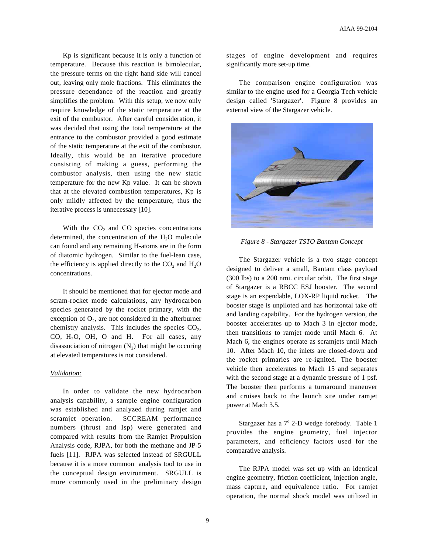Kp is significant because it is only a function of temperature. Because this reaction is bimolecular, the pressure terms on the right hand side will cancel out, leaving only mole fractions. This eliminates the pressure dependance of the reaction and greatly simplifies the problem. With this setup, we now only require knowledge of the static temperature at the exit of the combustor. After careful consideration, it was decided that using the total temperature at the entrance to the combustor provided a good estimate of the static temperature at the exit of the combustor. Ideally, this would be an iterative procedure consisting of making a guess, performing the combustor analysis, then using the new static temperature for the new Kp value. It can be shown that at the elevated combustion temperatures, Kp is only mildly affected by the temperature, thus the iterative process is unnecessary [10].

With the  $CO<sub>2</sub>$  and  $CO$  species concentrations determined, the concentration of the  $H_2O$  molecule can found and any remaining H-atoms are in the form of diatomic hydrogen. Similar to the fuel-lean case, the efficiency is applied directly to the  $CO<sub>2</sub>$  and  $H<sub>2</sub>O$ concentrations.

It should be mentioned that for ejector mode and scram-rocket mode calculations, any hydrocarbon species generated by the rocket primary, with the exception of  $O<sub>2</sub>$ , are not considered in the afterburner chemistry analysis. This includes the species  $CO<sub>2</sub>$ , CO,  $H_2O$ , OH, O and H. For all cases, any disassociation of nitrogen  $(N_2)$  that might be occuring at elevated temperatures is not considered.

#### *Validation:*

In order to validate the new hydrocarbon analysis capability, a sample engine configuration was established and analyzed during ramjet and scramjet operation. SCCREAM performance numbers (thrust and Isp) were generated and compared with results from the Ramjet Propulsion Analysis code, RJPA, for both the methane and JP-5 fuels [11]. RJPA was selected instead of SRGULL because it is a more common analysis tool to use in the conceptual design environment. SRGULL is more commonly used in the preliminary design stages of engine development and requires significantly more set-up time.

The comparison engine configuration was similar to the engine used for a Georgia Tech vehicle design called 'Stargazer'. Figure 8 provides an external view of the Stargazer vehicle.



*Figure 8 - Stargazer TSTO Bantam Concept*

The Stargazer vehicle is a two stage concept designed to deliver a small, Bantam class payload (300 lbs) to a 200 nmi. circular orbit. The first stage of Stargazer is a RBCC ESJ booster. The second stage is an expendable, LOX-RP liquid rocket. The booster stage is unpiloted and has horizontal take off and landing capability. For the hydrogen version, the booster accelerates up to Mach 3 in ejector mode, then transitions to ramjet mode until Mach 6. At Mach 6, the engines operate as scramjets until Mach 10. After Mach 10, the inlets are closed-down and the rocket primaries are re-ignited. The booster vehicle then accelerates to Mach 15 and separates with the second stage at a dynamic pressure of 1 psf. The booster then performs a turnaround maneuver and cruises back to the launch site under ramjet power at Mach 3.5.

Stargazer has a 7° 2-D wedge forebody. Table 1 provides the engine geometry, fuel injector parameters, and efficiency factors used for the comparative analysis.

The RJPA model was set up with an identical engine geometry, friction coefficient, injection angle, mass capture, and equivalence ratio. For ramjet operation, the normal shock model was utilized in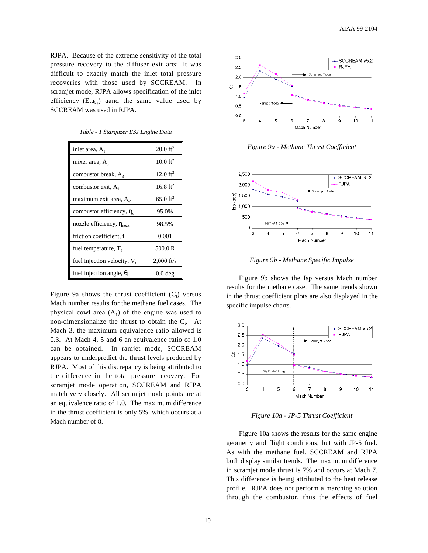RJPA. Because of the extreme sensitivity of the total pressure recovery to the diffuser exit area, it was difficult to exactly match the inlet total pressure recoveries with those used by SCCREAM. In scramjet mode, RJPA allows specification of the inlet efficiency (Eta<sub>ke</sub>) aand the same value used by SCCREAM was used in RJPA.

| inlet area, $A_1$                       | $20.0 \text{ ft}^2$  |
|-----------------------------------------|----------------------|
| mixer area, $A_3$                       | $10.0 \text{ ft}^2$  |
| combustor break, $A_{3}$                | $12.0 \text{ ft}^2$  |
| combustor exit, $A_4$                   | $16.8 \text{ ft}^2$  |
| maximum exit area, $A_{\alpha}$         | 65.0 ft <sup>2</sup> |
| combustor efficiency, $\eta_c$          | 95.0%                |
| nozzle efficiency, $\eta_{\text{nozz}}$ | 98.5%                |
| friction coefficient, f                 | 0.001                |
| fuel temperature, $T_{\epsilon}$        | 500.0 R              |
| fuel injection velocity, $V_f$          | $2,000$ ft/s         |
| fuel injection angle, $\theta_i$        | 0.0 <sub>deg</sub>   |

*Table - 1 Stargazer ESJ Engine Data*

Figure 9a shows the thrust coefficient  $(C_t)$  versus Mach number results for the methane fuel cases. The physical cowl area  $(A_1)$  of the engine was used to non-dimensionalize the thrust to obtain the  $C_t$ . At Mach 3, the maximum equivalence ratio allowed is 0.3. At Mach 4, 5 and 6 an equivalence ratio of 1.0 can be obtained. In ramjet mode, SCCREAM appears to underpredict the thrust levels produced by RJPA. Most of this discrepancy is being attributed to the difference in the total pressure recovery. For scramjet mode operation, SCCREAM and RJPA match very closely. All scramjet mode points are at an equivalence ratio of 1.0. The maximum difference in the thrust coefficient is only 5%, which occurs at a Mach number of 8.



*Figure 9a - Methane Thrust Coefficient*



*Figure 9b - Methane Specific Impulse*

Figure 9b shows the Isp versus Mach number results for the methane case. The same trends shown in the thrust coefficient plots are also displayed in the specific impulse charts.



*Figure 10a - JP-5 Thrust Coefficient*

Figure 10a shows the results for the same engine geometry and flight conditions, but with JP-5 fuel. As with the methane fuel, SCCREAM and RJPA both display similar trends. The maximum difference in scramjet mode thrust is 7% and occurs at Mach 7. This difference is being attributed to the heat release profile. RJPA does not perform a marching solution through the combustor, thus the effects of fuel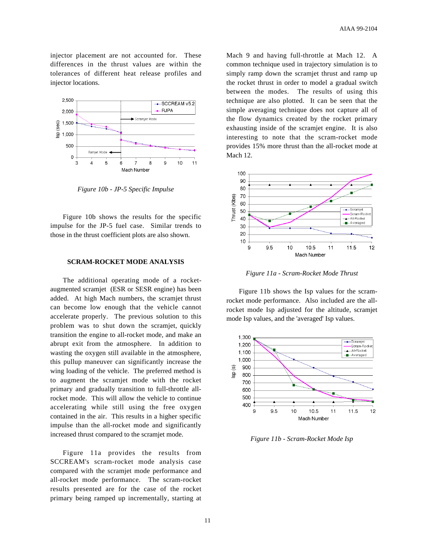injector placement are not accounted for. These differences in the thrust values are within the tolerances of different heat release profiles and injector locations.



*Figure 10b - JP-5 Specific Impulse*

Figure 10b shows the results for the specific impulse for the JP-5 fuel case. Similar trends to those in the thrust coefficient plots are also shown.

#### **SCRAM-ROCKET MODE ANALYSIS**

The additional operating mode of a rocketaugmented scramjet (ESR or SESR engine) has been added. At high Mach numbers, the scramjet thrust can become low enough that the vehicle cannot accelerate properly. The previous solution to this problem was to shut down the scramjet, quickly transition the engine to all-rocket mode, and make an abrupt exit from the atmosphere. In addition to wasting the oxygen still available in the atmosphere, this pullup maneuver can significantly increase the wing loading of the vehicle. The preferred method is to augment the scramjet mode with the rocket primary and gradually transition to full-throttle allrocket mode. This will allow the vehicle to continue accelerating while still using the free oxygen contained in the air. This results in a higher specific impulse than the all-rocket mode and significantly increased thrust compared to the scramjet mode.

Figure 11a provides the results from SCCREAM's scram-rocket mode analysis case compared with the scramjet mode performance and all-rocket mode performance. The scram-rocket results presented are for the case of the rocket primary being ramped up incrementally, starting at Mach 9 and having full-throttle at Mach 12. A common technique used in trajectory simulation is to simply ramp down the scramjet thrust and ramp up the rocket thrust in order to model a gradual switch between the modes. The results of using this technique are also plotted. It can be seen that the simple averaging technique does not capture all of the flow dynamics created by the rocket primary exhausting inside of the scramjet engine. It is also interesting to note that the scram-rocket mode provides 15% more thrust than the all-rocket mode at Mach 12.



*Figure 11a - Scram-Rocket Mode Thrust*

Figure 11b shows the Isp values for the scramrocket mode performance. Also included are the allrocket mode Isp adjusted for the altitude, scramjet mode Isp values, and the 'averaged' Isp values.



*Figure 11b - Scram-Rocket Mode Isp*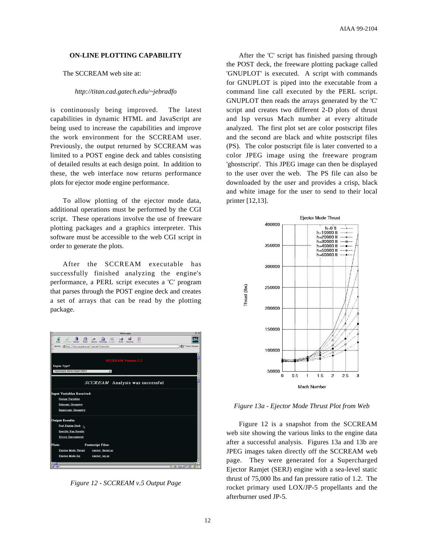#### **ON-LINE PLOTTING CAPABILITY**

The SCCREAM web site at:

#### *http://titan.cad.gatech.edu/~jebradfo*

is continuously being improved. The latest capabilities in dynamic HTML and JavaScript are being used to increase the capabilities and improve the work environment for the SCCREAM user. Previously, the output returned by SCCREAM was limited to a POST engine deck and tables consisting of detailed results at each design point. In addition to these, the web interface now returns performance plots for ejector mode engine performance.

To allow plotting of the ejector mode data, additional operations must be performed by the CGI script. These operations involve the use of freeware plotting packages and a graphics interpreter. This software must be accessible to the web CGI script in order to generate the plots.

After the SCCREAM executable has successfully finished analyzing the engine's performance, a PERL script executes a 'C' program that parses through the POST engine deck and creates a set of arrays that can be read by the plotting package.



*Figure 12 - SCCREAM v.5 Output Page*

After the 'C' script has finished parsing through the POST deck, the freeware plotting package called 'GNUPLOT' is executed. A script with commands for GNUPLOT is piped into the executable from a command line call executed by the PERL script. GNUPLOT then reads the arrays generated by the 'C' script and creates two different 2-D plots of thrust and Isp versus Mach number at every altitude analyzed. The first plot set are color postscript files and the second are black and white postscript files (PS). The color postscript file is later converted to a color JPEG image using the freeware program 'ghostscript'. This JPEG image can then be displayed to the user over the web. The PS file can also be downloaded by the user and provides a crisp, black and white image for the user to send to their local printer [12,13].



*Figure 13a - Ejector Mode Thrust Plot from Web*

Figure 12 is a snapshot from the SCCREAM web site showing the various links to the engine data after a successful analysis. Figures 13a and 13b are JPEG images taken directly off the SCCREAM web page. They were generated for a Supercharged Ejector Ramjet (SERJ) engine with a sea-level static thrust of 75,000 lbs and fan pressure ratio of 1.2. The rocket primary used LOX/JP-5 propellants and the afterburner used JP-5.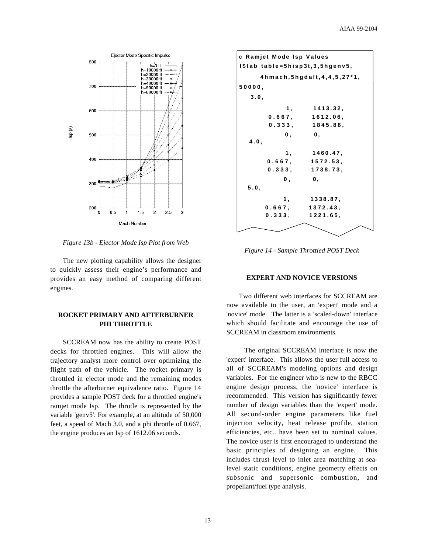

*Figure 13b - Ejector Mode Isp Plot from Web*

The new plotting capability allows the designer to quickly assess their engine's performance and provides an easy method of comparing different engines.

#### **ROCKET PRIMARY AND AFTERBURNER PHI THROTTLE**

SCCREAM now has the ability to create POST decks for throttled engines. This will allow the trajectory analyst more control over optimizing the flight path of the vehicle. The rocket primary is throttled in ejector mode and the remaining modes throttle the afterburner equivalence ratio. Figure 14 provides a sample POST deck for a throttled engine's ramjet mode Isp. The throtle is represented by the variable 'genv5'. For example, at an altitude of 50,000 feet, a speed of Mach 3.0, and a phi throttle of 0.667, the engine produces an Isp of 1612.06 seconds.

| c Ramjet Mode Isp Values        |        |          |  |  |
|---------------------------------|--------|----------|--|--|
| I\$tab table=5hisp3t,3,5hgenv5, |        |          |  |  |
| 4hmach, 5hgdalt, 4, 4, 5, 27*1, |        |          |  |  |
| 50000,                          |        |          |  |  |
| 3.0,                            |        |          |  |  |
|                                 | 1,     | 1413.32, |  |  |
|                                 | 0.667, | 1612.06, |  |  |
|                                 | 0.333, | 1845.88, |  |  |
|                                 | 0,     | 0,       |  |  |
| 4.0,                            |        |          |  |  |
|                                 | 1.     | 1460.47, |  |  |
|                                 | 0.667, | 1572.53, |  |  |
|                                 | 0.333, | 1738.73, |  |  |
|                                 | 0,     | 0,       |  |  |
| 5.0,                            |        |          |  |  |
|                                 | 1,     | 1338.87, |  |  |
|                                 | 0.667, | 1372.43, |  |  |
|                                 | 0.333, | 1221.65, |  |  |
|                                 |        |          |  |  |
|                                 |        |          |  |  |

*Figure 14 - Sample Throttled POST Deck*

#### **EXPERT AND NOVICE VERSIONS**

Two different web interfaces for SCCREAM are now available to the user, an 'expert' mode and a 'novice' mode. The latter is a 'scaled-down' interface which should facilitate and encourage the use of SCCREAM in classroom environments.

 The original SCCREAM interface is now the 'expert' interface. This allows the user full access to all of SCCREAM's modeling options and design variables. For the engineer who is new to the RBCC engine design process, the 'novice' interface is recommended. This version has significantly fewer number of design variables than the 'expert' mode. All second-order engine parameters like fuel injection velocity, heat release profile, station efficiencies, etc.. have been set to nominal values. The novice user is first encouraged to understand the basic principles of designing an engine. This includes thrust level to inlet area matching at sealevel static conditions, engine geometry effects on subsonic and supersonic combustion, and propellant/fuel type analysis.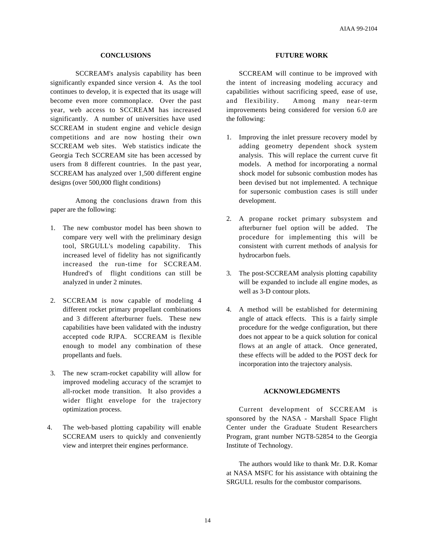#### **CONCLUSIONS**

SCCREAM's analysis capability has been significantly expanded since version 4. As the tool continues to develop, it is expected that its usage will become even more commonplace. Over the past year, web access to SCCREAM has increased significantly. A number of universities have used SCCREAM in student engine and vehicle design competitions and are now hosting their own SCCREAM web sites. Web statistics indicate the Georgia Tech SCCREAM site has been accessed by users from 8 different countries. In the past year, SCCREAM has analyzed over 1,500 different engine designs (over 500,000 flight conditions)

Among the conclusions drawn from this paper are the following:

- 1. The new combustor model has been shown to compare very well with the preliminary design tool, SRGULL's modeling capability. This increased level of fidelity has not significantly increased the run-time for SCCREAM. Hundred's of flight conditions can still be analyzed in under 2 minutes.
- 2. SCCREAM is now capable of modeling 4 different rocket primary propellant combinations and 3 different afterburner fuels. These new capabilities have been validated with the industry accepted code RJPA. SCCREAM is flexible enough to model any combination of these propellants and fuels.
- 3. The new scram-rocket capability will allow for improved modeling accuracy of the scramjet to all-rocket mode transition. It also provides a wider flight envelope for the trajectory optimization process.
- 4. The web-based plotting capability will enable SCCREAM users to quickly and conveniently view and interpret their engines performance.

#### **FUTURE WORK**

SCCREAM will continue to be improved with the intent of increasing modeling accuracy and capabilities without sacrificing speed, ease of use, and flexibility. Among many near-term improvements being considered for version 6.0 are the following:

- 1. Improving the inlet pressure recovery model by adding geometry dependent shock system analysis. This will replace the current curve fit models. A method for incorporating a normal shock model for subsonic combustion modes has been devised but not implemented. A technique for supersonic combustion cases is still under development.
- 2. A propane rocket primary subsystem and afterburner fuel option will be added. The procedure for implementing this will be consistent with current methods of analysis for hydrocarbon fuels.
- 3. The post-SCCREAM analysis plotting capability will be expanded to include all engine modes, as well as 3-D contour plots.
- 4. A method will be established for determining angle of attack effects. This is a fairly simple procedure for the wedge configuration, but there does not appear to be a quick solution for conical flows at an angle of attack. Once generated, these effects will be added to the POST deck for incorporation into the trajectory analysis.

#### **ACKNOWLEDGMENTS**

Current development of SCCREAM is sponsored by the NASA - Marshall Space Flight Center under the Graduate Student Researchers Program, grant number NGT8-52854 to the Georgia Institute of Technology.

The authors would like to thank Mr. D.R. Komar at NASA MSFC for his assistance with obtaining the SRGULL results for the combustor comparisons.